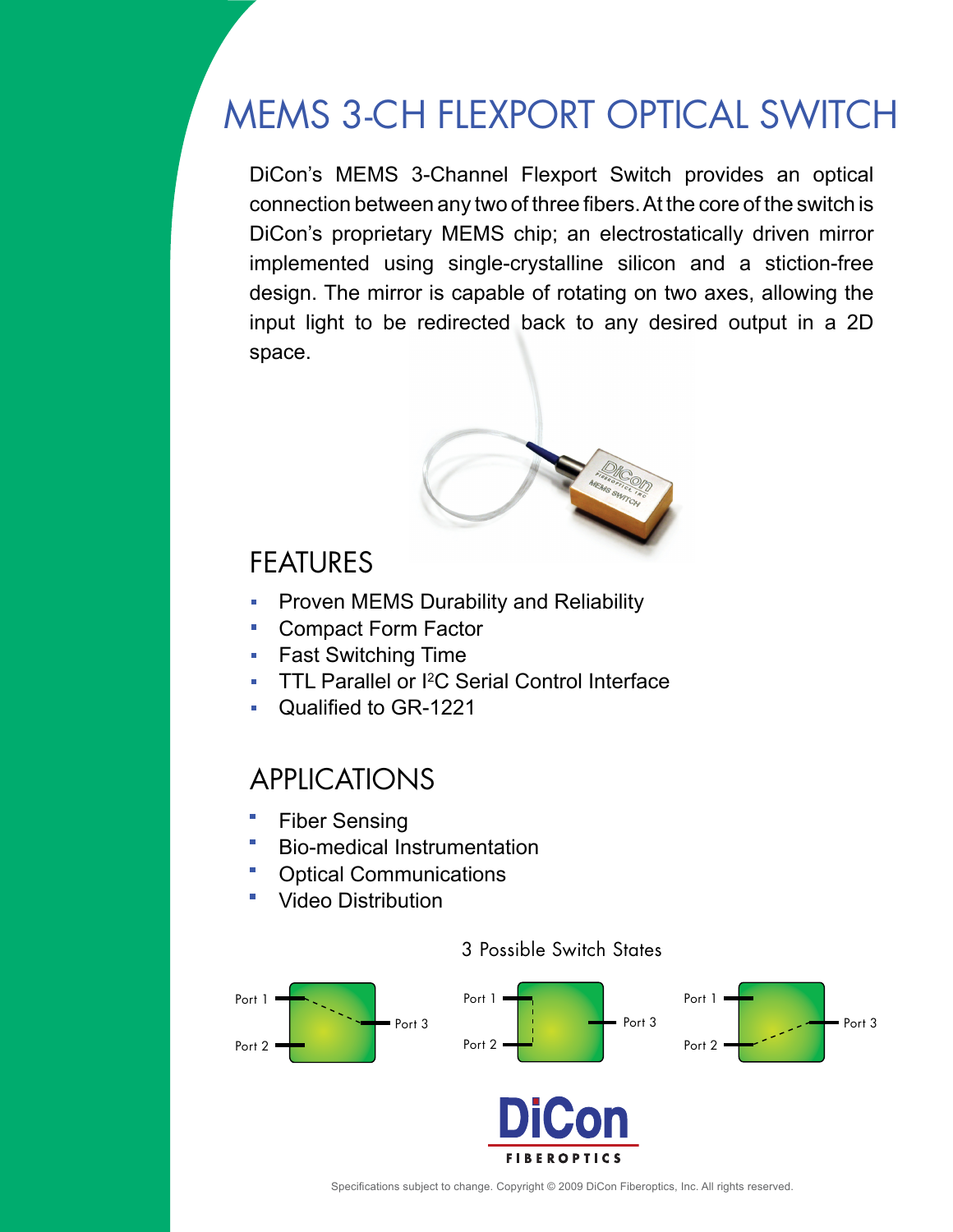# MEMS 3-CH FLEXPORT OPTICAL SWITCH

DiCon's MEMS 3-Channel Flexport Switch provides an optical connection between any two of three fibers. At the core of the switch is DiCon's proprietary MEMS chip; an electrostatically driven mirror implemented using single-crystalline silicon and a stiction-free design. The mirror is capable of rotating on two axes, allowing the input light to be redirected back to any desired output in a 2D space.



### FEATURES

- Proven MEMS Durability and Reliability  $\overline{\mathbf{u}}$
- Compact Form Factor  $\overline{\phantom{a}}$
- Fast Switching Time  $\overline{\phantom{a}}$
- TTL Parallel or I<sup>2</sup>C Serial Control Interface  $\overline{\mathbf{u}}$
- Qualified to GR-1221

## APPLICATIONS

- Fiber Sensing
- Bio-medical Instrumentation
- Optical Communications
- Video Distribution



#### 3 Possible Switch States